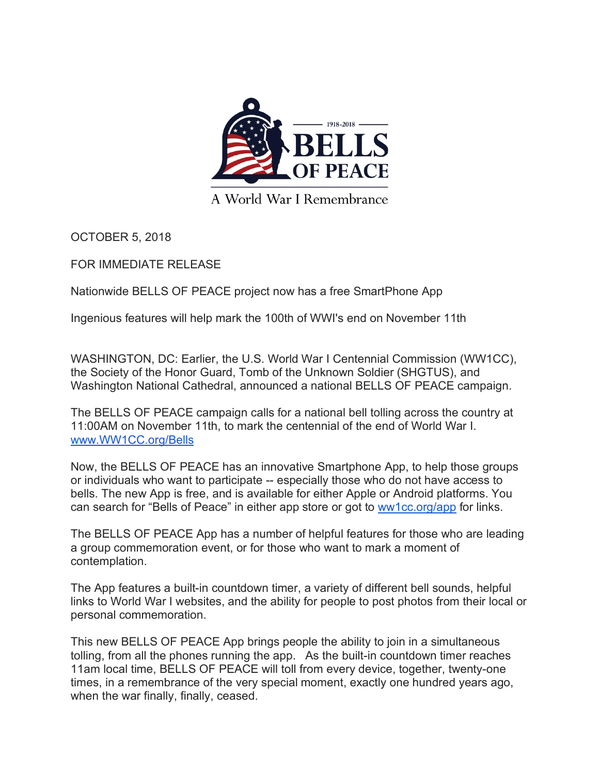

A World War I Remembrance

OCTOBER 5, 2018

FOR IMMEDIATE RELEASE

Nationwide BELLS OF PEACE project now has a free SmartPhone App

Ingenious features will help mark the 100th of WWI's end on November 11th

WASHINGTON, DC: Earlier, the U.S. World War I Centennial Commission (WW1CC), the Society of the Honor Guard, Tomb of the Unknown Soldier (SHGTUS), and Washington National Cathedral, announced a national BELLS OF PEACE campaign.

The BELLS OF PEACE campaign calls for a national bell tolling across the country at 11:00AM on November 11th, to mark the centennial of the end of World War I. www.WW1CC.org/Bells

Now, the BELLS OF PEACE has an innovative Smartphone App, to help those groups or individuals who want to participate -- especially those who do not have access to bells. The new App is free, and is available for either Apple or Android platforms. You can search for "Bells of Peace" in either app store or got to ww1cc.org/app for links.

The BELLS OF PEACE App has a number of helpful features for those who are leading a group commemoration event, or for those who want to mark a moment of contemplation.

The App features a built-in countdown timer, a variety of different bell sounds, helpful links to World War I websites, and the ability for people to post photos from their local or personal commemoration.

This new BELLS OF PEACE App brings people the ability to join in a simultaneous tolling, from all the phones running the app. As the built-in countdown timer reaches 11am local time, BELLS OF PEACE will toll from every device, together, twenty-one times, in a remembrance of the very special moment, exactly one hundred years ago, when the war finally, finally, ceased.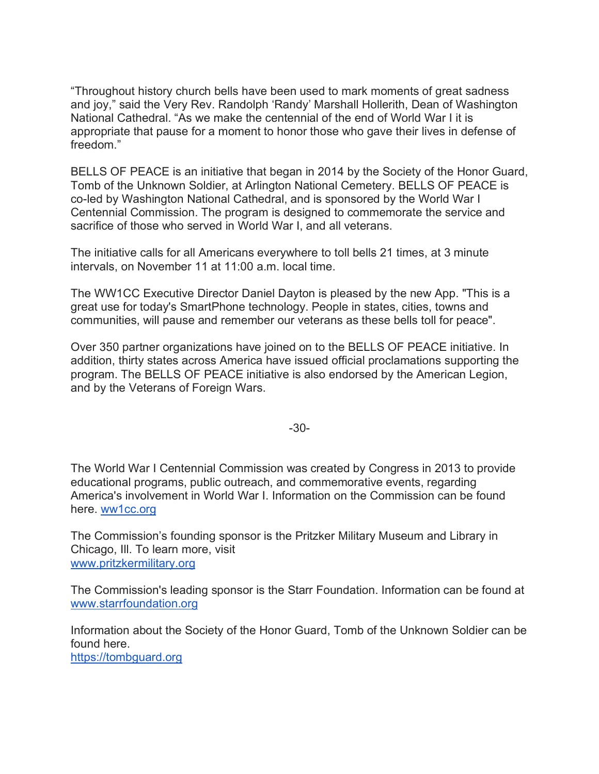"Throughout history church bells have been used to mark moments of great sadness and joy," said the Very Rev. Randolph 'Randy' Marshall Hollerith, Dean of Washington National Cathedral. "As we make the centennial of the end of World War I it is appropriate that pause for a moment to honor those who gave their lives in defense of freedom."

BELLS OF PEACE is an initiative that began in 2014 by the Society of the Honor Guard, Tomb of the Unknown Soldier, at Arlington National Cemetery. BELLS OF PEACE is co-led by Washington National Cathedral, and is sponsored by the World War I Centennial Commission. The program is designed to commemorate the service and sacrifice of those who served in World War I, and all veterans.

The initiative calls for all Americans everywhere to toll bells 21 times, at 3 minute intervals, on November 11 at 11:00 a.m. local time.

The WW1CC Executive Director Daniel Dayton is pleased by the new App. "This is a great use for today's SmartPhone technology. People in states, cities, towns and communities, will pause and remember our veterans as these bells toll for peace".

Over 350 partner organizations have joined on to the BELLS OF PEACE initiative. In addition, thirty states across America have issued official proclamations supporting the program. The BELLS OF PEACE initiative is also endorsed by the American Legion, and by the Veterans of Foreign Wars.

-30-

The World War I Centennial Commission was created by Congress in 2013 to provide educational programs, public outreach, and commemorative events, regarding America's involvement in World War I. Information on the Commission can be found here. ww1cc.org

The Commission's founding sponsor is the Pritzker Military Museum and Library in Chicago, Ill. To learn more, visit www.pritzkermilitary.org

The Commission's leading sponsor is the Starr Foundation. Information can be found at www.starrfoundation.org

Information about the Society of the Honor Guard, Tomb of the Unknown Soldier can be found here. https://tombguard.org